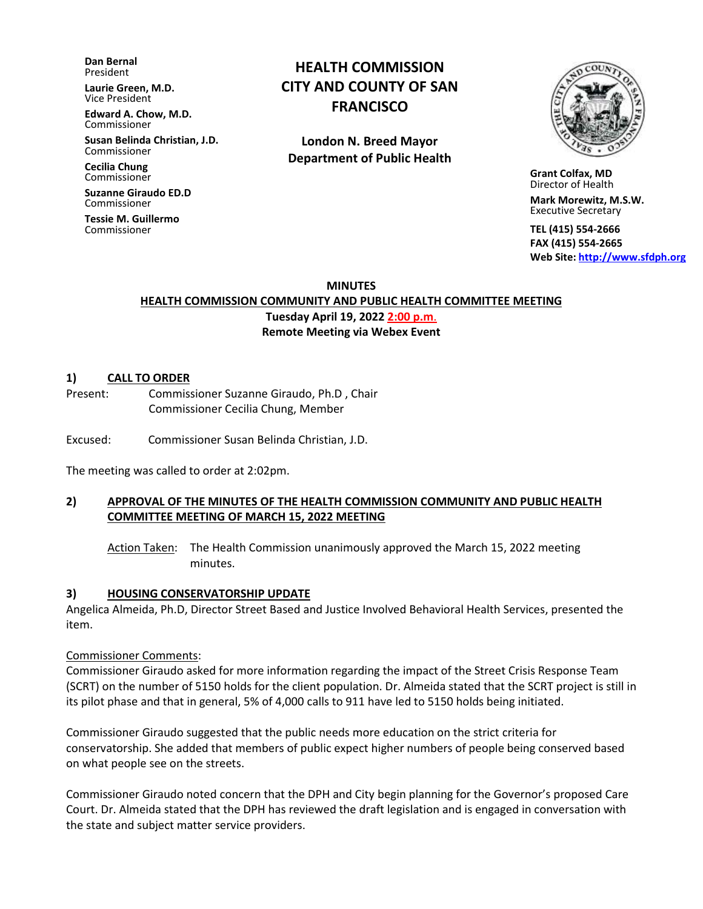**Dan Bernal** President

**Laurie Green, M.D.** Vice President

**Edward A. Chow, M.D.** Commissioner

**Susan Belinda Christian, J.D.** Commissioner

**Cecilia Chung**  Commissioner

**Suzanne Giraudo ED.D** Commissioner

**Tessie M. Guillermo** Commissioner

# **HEALTH COMMISSION CITY AND COUNTY OF SAN FRANCISCO**

**London N. Breed Mayor Department of Public Health**



 **Grant Colfax, MD**  Director of Health

 **Mark Morewitz, M.S.W.**  Executive Secretary

 **TEL (415) 554-2666 FAX (415) 554-2665 Web Site: [http://www.sfdph.org](http://www.sfdph.org/)**

**MINUTES HEALTH COMMISSION COMMUNITY AND PUBLIC HEALTH COMMITTEE MEETING Tuesday April 19, 2022 2:00 p.m**. **Remote Meeting via Webex Event**

#### **1) CALL TO ORDER**

Present: Commissioner Suzanne Giraudo, Ph.D , Chair Commissioner Cecilia Chung, Member

Excused: Commissioner Susan Belinda Christian, J.D.

The meeting was called to order at 2:02pm.

# **2) APPROVAL OF THE MINUTES OF THE HEALTH COMMISSION COMMUNITY AND PUBLIC HEALTH COMMITTEE MEETING OF MARCH 15, 2022 MEETING**

Action Taken: The Health Commission unanimously approved the March 15, 2022 meeting minutes.

#### **3) HOUSING CONSERVATORSHIP UPDATE**

Angelica Almeida, Ph.D, Director Street Based and Justice Involved Behavioral Health Services, presented the item.

#### Commissioner Comments:

Commissioner Giraudo asked for more information regarding the impact of the Street Crisis Response Team (SCRT) on the number of 5150 holds for the client population. Dr. Almeida stated that the SCRT project is still in its pilot phase and that in general, 5% of 4,000 calls to 911 have led to 5150 holds being initiated.

Commissioner Giraudo suggested that the public needs more education on the strict criteria for conservatorship. She added that members of public expect higher numbers of people being conserved based on what people see on the streets.

Commissioner Giraudo noted concern that the DPH and City begin planning for the Governor's proposed Care Court. Dr. Almeida stated that the DPH has reviewed the draft legislation and is engaged in conversation with the state and subject matter service providers.